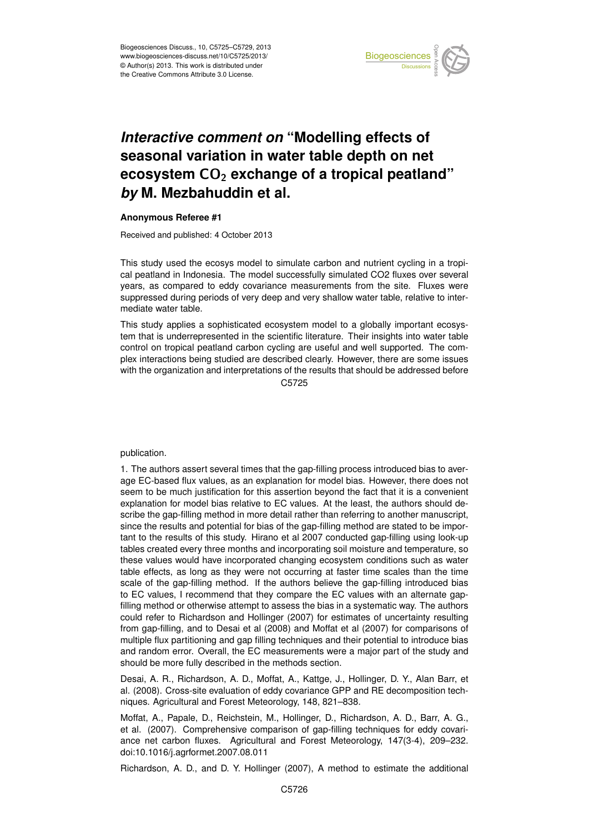

## Earth System seasonal variation in water table depth on net  $\mathbf{a}$ *Interactive comment on "Modelling effects of* **ecosystem CO<sub>2</sub> exchange of a tropical peatland"**  $dim$  of c *by* M. Mezbahuddin et al.  $\overline{a}$

## **Anonymous Referee #1**

Received and published: 4 October 2013

This study used the ecosys model to simulate carbon and nutrient cycling in a tropi-.<br>in ์<br>า years, as compared to eddy covariance measurements from the site. Fluxes were suppressed during periods of very deep and very shallow water table, relative to intere<br>ءَ Open Access cal peatland in Indonesia. The model successfully simulated CO2 fluxes over several mediate water table.

This study applies a sophisticated ecosystem model to a globally important ecosyscontrol on tropical peatland carbon cycling are useful and well supported. The com-,<br>Pri<br>ri at<br>Ir tem that is underrepresented in the scientific literature. Their insights into water table C<br>C plex interactions being studied are described clearly. However, there are some issues with the organization and interpretations of the results that should be addressed before C5725

publication.

1. The authors assert several times that the gap-filling process introduced bias to average EC-based flux values, as an explanation for model bias. However, there does not seem to be much justification for this assertion beyond the fact that it is a convenient explanation for model bias relative to EC values. At the least, the authors should describe the gap-filling method in more detail rather than referring to another manuscript, since the results and potential for bias of the gap-filling method are stated to be important to the results of this study. Hirano et al 2007 conducted gap-filling using look-up tables created every three months and incorporating soil moisture and temperature, so these values would have incorporated changing ecosystem conditions such as water table effects, as long as they were not occurring at faster time scales than the time scale of the gap-filling method. If the authors believe the gap-filling introduced bias to EC values, I recommend that they compare the EC values with an alternate gapfilling method or otherwise attempt to assess the bias in a systematic way. The authors could refer to Richardson and Hollinger (2007) for estimates of uncertainty resulting from gap-filling, and to Desai et al (2008) and Moffat et al (2007) for comparisons of multiple flux partitioning and gap filling techniques and their potential to introduce bias and random error. Overall, the EC measurements were a major part of the study and should be more fully described in the methods section.

Desai, A. R., Richardson, A. D., Moffat, A., Kattge, J., Hollinger, D. Y., Alan Barr, et al. (2008). Cross-site evaluation of eddy covariance GPP and RE decomposition techniques. Agricultural and Forest Meteorology, 148, 821–838.

Moffat, A., Papale, D., Reichstein, M., Hollinger, D., Richardson, A. D., Barr, A. G., et al. (2007). Comprehensive comparison of gap-filling techniques for eddy covariance net carbon fluxes. Agricultural and Forest Meteorology, 147(3-4), 209–232. doi:10.1016/j.agrformet.2007.08.011

Richardson, A. D., and D. Y. Hollinger (2007), A method to estimate the additional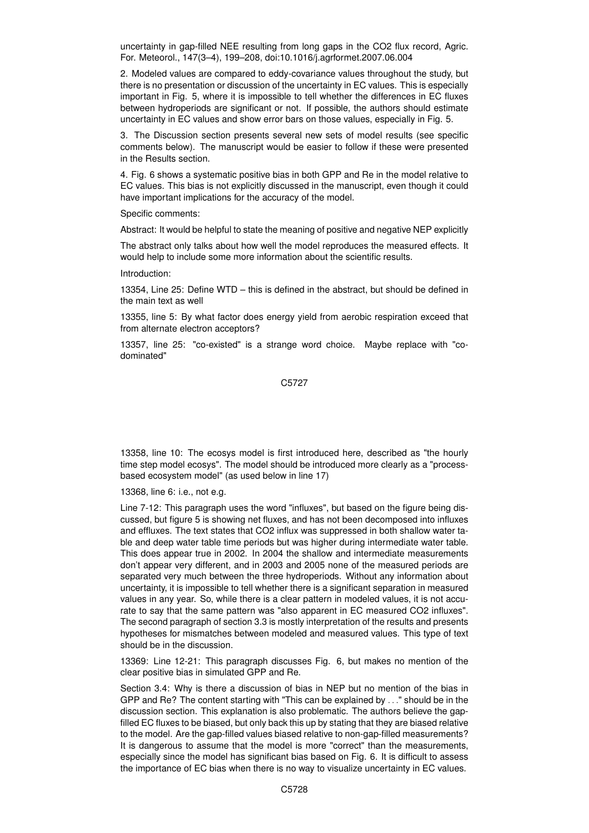uncertainty in gap-filled NEE resulting from long gaps in the CO2 flux record, Agric. For. Meteorol., 147(3–4), 199–208, doi:10.1016/j.agrformet.2007.06.004

2. Modeled values are compared to eddy-covariance values throughout the study, but there is no presentation or discussion of the uncertainty in EC values. This is especially important in Fig. 5, where it is impossible to tell whether the differences in EC fluxes between hydroperiods are significant or not. If possible, the authors should estimate uncertainty in EC values and show error bars on those values, especially in Fig. 5.

3. The Discussion section presents several new sets of model results (see specific comments below). The manuscript would be easier to follow if these were presented in the Results section.

4. Fig. 6 shows a systematic positive bias in both GPP and Re in the model relative to EC values. This bias is not explicitly discussed in the manuscript, even though it could have important implications for the accuracy of the model.

Specific comments:

Abstract: It would be helpful to state the meaning of positive and negative NEP explicitly

The abstract only talks about how well the model reproduces the measured effects. It would help to include some more information about the scientific results.

Introduction:

13354, Line 25: Define WTD – this is defined in the abstract, but should be defined in the main text as well

13355, line 5: By what factor does energy yield from aerobic respiration exceed that from alternate electron acceptors?

13357, line 25: "co-existed" is a strange word choice. Maybe replace with "codominated"

C5727

13358, line 10: The ecosys model is first introduced here, described as "the hourly time step model ecosys". The model should be introduced more clearly as a "processbased ecosystem model" (as used below in line 17)

13368, line 6: i.e., not e.g.

Line 7-12: This paragraph uses the word "influxes", but based on the figure being discussed, but figure 5 is showing net fluxes, and has not been decomposed into influxes and effluxes. The text states that CO2 influx was suppressed in both shallow water table and deep water table time periods but was higher during intermediate water table. This does appear true in 2002. In 2004 the shallow and intermediate measurements don't appear very different, and in 2003 and 2005 none of the measured periods are separated very much between the three hydroperiods. Without any information about uncertainty, it is impossible to tell whether there is a significant separation in measured values in any year. So, while there is a clear pattern in modeled values, it is not accurate to say that the same pattern was "also apparent in EC measured CO2 influxes". The second paragraph of section 3.3 is mostly interpretation of the results and presents hypotheses for mismatches between modeled and measured values. This type of text should be in the discussion.

13369: Line 12-21: This paragraph discusses Fig. 6, but makes no mention of the clear positive bias in simulated GPP and Re.

Section 3.4: Why is there a discussion of bias in NEP but no mention of the bias in GPP and Re? The content starting with "This can be explained by . . ." should be in the discussion section. This explanation is also problematic. The authors believe the gapfilled EC fluxes to be biased, but only back this up by stating that they are biased relative to the model. Are the gap-filled values biased relative to non-gap-filled measurements? It is dangerous to assume that the model is more "correct" than the measurements, especially since the model has significant bias based on Fig. 6. It is difficult to assess the importance of EC bias when there is no way to visualize uncertainty in EC values.